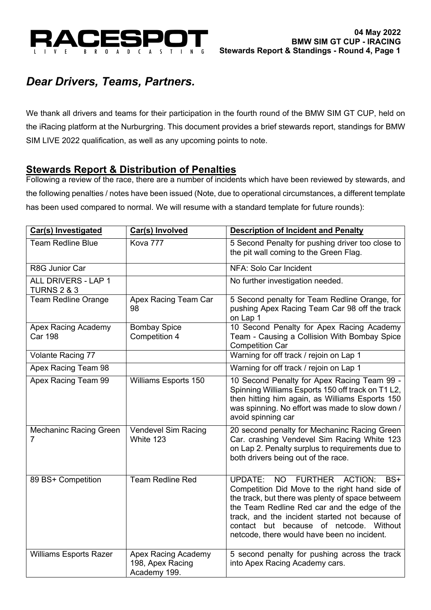

# *Dear Drivers, Teams, Partners.*

We thank all drivers and teams for their participation in the fourth round of the BMW SIM GT CUP, held on the iRacing platform at the Nurburgring. This document provides a brief stewards report, standings for BMW SIM LIVE 2022 qualification, as well as any upcoming points to note.

### **Stewards Report & Distribution of Penalties**

Following a review of the race, there are a number of incidents which have been reviewed by stewards, and the following penalties / notes have been issued (Note, due to operational circumstances, a different template has been used compared to normal. We will resume with a standard template for future rounds):

| <b>Car(s) Investigated</b>                    | Car(s) Involved                                                | <b>Description of Incident and Penalty</b>                                                                                                                                                                                                                                                                                                                               |
|-----------------------------------------------|----------------------------------------------------------------|--------------------------------------------------------------------------------------------------------------------------------------------------------------------------------------------------------------------------------------------------------------------------------------------------------------------------------------------------------------------------|
| <b>Team Redline Blue</b>                      | Kova 777                                                       | 5 Second Penalty for pushing driver too close to<br>the pit wall coming to the Green Flag.                                                                                                                                                                                                                                                                               |
| R8G Junior Car                                |                                                                | NFA: Solo Car Incident                                                                                                                                                                                                                                                                                                                                                   |
| ALL DRIVERS - LAP 1<br><b>TURNS 2 &amp; 3</b> |                                                                | No further investigation needed.                                                                                                                                                                                                                                                                                                                                         |
| <b>Team Redline Orange</b>                    | Apex Racing Team Car<br>98                                     | 5 Second penalty for Team Redline Orange, for<br>pushing Apex Racing Team Car 98 off the track<br>on Lap 1                                                                                                                                                                                                                                                               |
| <b>Apex Racing Academy</b><br><b>Car 198</b>  | <b>Bombay Spice</b><br>Competition 4                           | 10 Second Penalty for Apex Racing Academy<br>Team - Causing a Collision With Bombay Spice<br><b>Competition Car</b>                                                                                                                                                                                                                                                      |
| Volante Racing 77                             |                                                                | Warning for off track / rejoin on Lap 1                                                                                                                                                                                                                                                                                                                                  |
| Apex Racing Team 98                           |                                                                | Warning for off track / rejoin on Lap 1                                                                                                                                                                                                                                                                                                                                  |
| Apex Racing Team 99                           | Williams Esports 150                                           | 10 Second Penalty for Apex Racing Team 99 -<br>Spinning Williams Esports 150 off track on T1 L2,<br>then hitting him again, as Williams Esports 150<br>was spinning. No effort was made to slow down /<br>avoid spinning car                                                                                                                                             |
| <b>Mechaninc Racing Green</b><br>7            | Vendevel Sim Racing<br>White 123                               | 20 second penalty for Mechaninc Racing Green<br>Car. crashing Vendevel Sim Racing White 123<br>on Lap 2. Penalty surplus to requirements due to<br>both drivers being out of the race.                                                                                                                                                                                   |
| 89 BS+ Competition                            | Team Redline Red                                               | <b>NO</b><br><b>FURTHER</b><br><b>ACTION:</b><br><b>UPDATE:</b><br>BS+<br>Competition Did Move to the right hand side of<br>the track, but there was plenty of space betweem<br>the Team Redline Red car and the edge of the<br>track, and the incident started not because of<br>contact but because of netcode. Without<br>netcode, there would have been no incident. |
| <b>Williams Esports Razer</b>                 | <b>Apex Racing Academy</b><br>198, Apex Racing<br>Academy 199. | 5 second penalty for pushing across the track<br>into Apex Racing Academy cars.                                                                                                                                                                                                                                                                                          |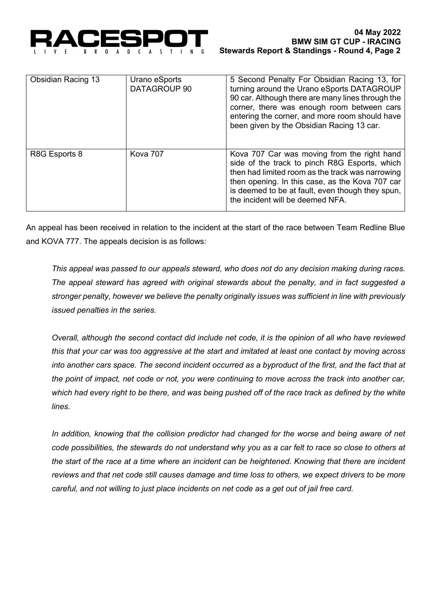

| <b>Obsidian Racing 13</b> | Urano eSports<br>DATAGROUP 90 | 5 Second Penalty For Obsidian Racing 13, for<br>turning around the Urano eSports DATAGROUP<br>90 car. Although there are many lines through the<br>corner, there was enough room between cars<br>entering the corner, and more room should have<br>been given by the Obsidian Racing 13 car. |
|---------------------------|-------------------------------|----------------------------------------------------------------------------------------------------------------------------------------------------------------------------------------------------------------------------------------------------------------------------------------------|
| R8G Esports 8             | Kova 707                      | Kova 707 Car was moving from the right hand<br>side of the track to pinch R8G Esports, which<br>then had limited room as the track was narrowing<br>then opening. In this case, as the Kova 707 car<br>is deemed to be at fault, even though they spun,<br>the incident will be deemed NFA.  |

An appeal has been received in relation to the incident at the start of the race between Team Redline Blue and KOVA 777. The appeals decision is as follows:

*This appeal was passed to our appeals steward, who does not do any decision making during races. The appeal steward has agreed with original stewards about the penalty, and in fact suggested a stronger penalty, however we believe the penalty originally issues was sufficient in line with previously issued penalties in the series.*

*Overall, although the second contact did include net code, it is the opinion of all who have reviewed this that your car was too aggressive at the start and imitated at least one contact by moving across*  into another cars space. The second incident occurred as a byproduct of the first, and the fact that at *the point of impact, net code or not, you were continuing to move across the track into another car, which had every right to be there, and was being pushed off of the race track as defined by the white lines.*

In addition, knowing that the collision predictor had changed for the worse and being aware of net *code possibilities, the stewards do not understand why you as a car felt to race so close to others at the start of the race at a time where an incident can be heightened. Knowing that there are incident reviews and that net code still causes damage and time loss to others, we expect drivers to be more careful, and not willing to just place incidents on net code as a get out of jail free card.*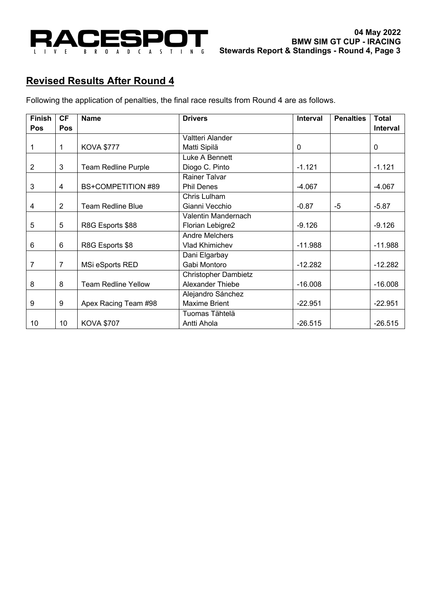

## **Revised Results After Round 4**

Following the application of penalties, the final race results from Round 4 are as follows.

| <b>Finish</b>  | <b>CF</b>      | <b>Name</b>                | <b>Drivers</b>              | Interval  | <b>Penalties</b> | <b>Total</b> |
|----------------|----------------|----------------------------|-----------------------------|-----------|------------------|--------------|
| Pos            | Pos            |                            |                             |           |                  | Interval     |
|                |                |                            | Valtteri Alander            |           |                  |              |
| 1              | 1              | <b>KOVA \$777</b>          | Matti Sipilä                | 0         |                  | 0            |
|                |                |                            | Luke A Bennett              |           |                  |              |
| $\overline{2}$ | 3              | <b>Team Redline Purple</b> | Diogo C. Pinto              | $-1.121$  |                  | $-1.121$     |
|                |                |                            | <b>Rainer Talvar</b>        |           |                  |              |
| 3              | $\overline{4}$ | <b>BS+COMPETITION #89</b>  | <b>Phil Denes</b>           | $-4.067$  |                  | $-4.067$     |
|                |                |                            | Chris Lulham                |           |                  |              |
| 4              | 2              | <b>Team Redline Blue</b>   | Gianni Vecchio              | $-0.87$   | -5               | $-5.87$      |
|                |                |                            | Valentin Mandernach         |           |                  |              |
| 5              | 5              | R8G Esports \$88           | Florian Lebigre2            | $-9.126$  |                  | $-9.126$     |
|                |                |                            | <b>Andre Melchers</b>       |           |                  |              |
| 6              | 6              | R8G Esports \$8            | Vlad Khimichev              | $-11.988$ |                  | $-11.988$    |
|                |                |                            | Dani Elgarbay               |           |                  |              |
| 7              | $\overline{7}$ | MSi eSports RED            | Gabi Montoro                | $-12.282$ |                  | $-12.282$    |
|                |                |                            | <b>Christopher Dambietz</b> |           |                  |              |
| 8              | 8              | <b>Team Redline Yellow</b> | Alexander Thiebe            | $-16.008$ |                  | $-16.008$    |
|                |                |                            | Alejandro Sánchez           |           |                  |              |
| 9              | 9              | Apex Racing Team #98       | <b>Maxime Brient</b>        | $-22.951$ |                  | $-22.951$    |
|                |                |                            | Tuomas Tähtelä              |           |                  |              |
| 10             | 10             | <b>KOVA \$707</b>          | Antti Ahola                 | $-26.515$ |                  | $-26.515$    |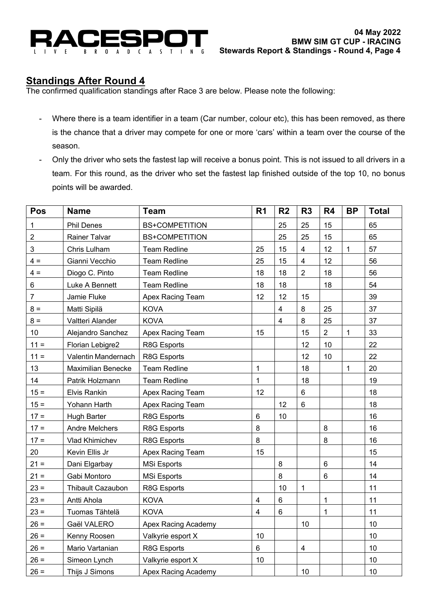

## **Standings After Round 4**

The confirmed qualification standings after Race 3 are below. Please note the following:

- Where there is a team identifier in a team (Car number, colour etc), this has been removed, as there is the chance that a driver may compete for one or more 'cars' within a team over the course of the season.
- Only the driver who sets the fastest lap will receive a bonus point. This is not issued to all drivers in a team. For this round, as the driver who set the fastest lap finished outside of the top 10, no bonus points will be awarded.

| Pos            | <b>Name</b>               | <b>Team</b>           | R <sub>1</sub>          | R <sub>2</sub> | R <sub>3</sub>          | R4             | <b>BP</b>   | <b>Total</b> |
|----------------|---------------------------|-----------------------|-------------------------|----------------|-------------------------|----------------|-------------|--------------|
| 1              | <b>Phil Denes</b>         | <b>BS+COMPETITION</b> |                         | 25             | 25                      | 15             |             | 65           |
| $\overline{2}$ | <b>Rainer Talvar</b>      | <b>BS+COMPETITION</b> |                         | 25             | 25                      | 15             |             | 65           |
| 3              | Chris Lulham              | <b>Team Redline</b>   | 25                      | 15             | $\overline{\mathbf{4}}$ | 12             | $\mathbf 1$ | 57           |
| $4 =$          | Gianni Vecchio            | <b>Team Redline</b>   | 25                      | 15             | $\overline{4}$          | 12             |             | 56           |
| $4 =$          | Diogo C. Pinto            | <b>Team Redline</b>   | 18                      | 18             | $\overline{2}$          | 18             |             | 56           |
| 6              | Luke A Bennett            | <b>Team Redline</b>   | 18                      | 18             |                         | 18             |             | 54           |
| 7              | Jamie Fluke               | Apex Racing Team      | 12                      | 12             | 15                      |                |             | 39           |
| $8 =$          | Matti Sipilä              | <b>KOVA</b>           |                         | 4              | 8                       | 25             |             | 37           |
| $8 =$          | Valtteri Alander          | <b>KOVA</b>           |                         | 4              | 8                       | 25             |             | 37           |
| 10             | Alejandro Sanchez         | Apex Racing Team      | 15                      |                | 15                      | $\overline{2}$ | $\mathbf 1$ | 33           |
| $11 =$         | Florian Lebigre2          | R8G Esports           |                         |                | 12                      | 10             |             | 22           |
| $11 =$         | Valentin Mandernach       | R8G Esports           |                         |                | 12                      | $10$           |             | 22           |
| 13             | <b>Maximilian Benecke</b> | <b>Team Redline</b>   | 1                       |                | 18                      |                | $\mathbf 1$ | 20           |
| 14             | Patrik Holzmann           | <b>Team Redline</b>   | 1                       |                | 18                      |                |             | 19           |
| $15 =$         | <b>Elvis Rankin</b>       | Apex Racing Team      | 12                      |                | 6                       |                |             | 18           |
| $15 =$         | Yohann Harth              | Apex Racing Team      |                         | 12             | $6\phantom{a}$          |                |             | 18           |
| $17 =$         | <b>Hugh Barter</b>        | R8G Esports           | 6                       | 10             |                         |                |             | 16           |
| $17 =$         | Andre Melchers            | R8G Esports           | 8                       |                |                         | $\,8\,$        |             | 16           |
| $17 =$         | Vlad Khimichev            | R8G Esports           | 8                       |                |                         | $\,8\,$        |             | 16           |
| 20             | Kevin Ellis Jr            | Apex Racing Team      | 15                      |                |                         |                |             | 15           |
| $21 =$         | Dani Elgarbay             | <b>MSi Esports</b>    |                         | 8              |                         | $6\phantom{1}$ |             | 14           |
| $21 =$         | Gabi Montoro              | <b>MSi Esports</b>    |                         | 8              |                         | $\,6\,$        |             | 14           |
| $23 =$         | <b>Thibault Cazaubon</b>  | R8G Esports           |                         | 10             | $\mathbf 1$             |                |             | 11           |
| $23 =$         | Antti Ahola               | <b>KOVA</b>           | $\overline{\mathbf{4}}$ | 6              |                         | $\mathbf{1}$   |             | 11           |
| $23 =$         | Tuomas Tähtelä            | <b>KOVA</b>           | $\overline{\mathbf{4}}$ | $\,6\,$        |                         | $\mathbf{1}$   |             | 11           |
| $26 =$         | Gaël VALERO               | Apex Racing Academy   |                         |                | 10                      |                |             | 10           |
| $26 =$         | Kenny Roosen              | Valkyrie esport X     | 10                      |                |                         |                |             | 10           |
| $26 =$         | Mario Vartanian           | R8G Esports           | 6                       |                | $\overline{\mathbf{4}}$ |                |             | 10           |
| $26 =$         | Simeon Lynch              | Valkyrie esport X     | 10                      |                |                         |                |             | 10           |
| $26 =$         | Thijs J Simons            | Apex Racing Academy   |                         |                | 10                      |                |             | 10           |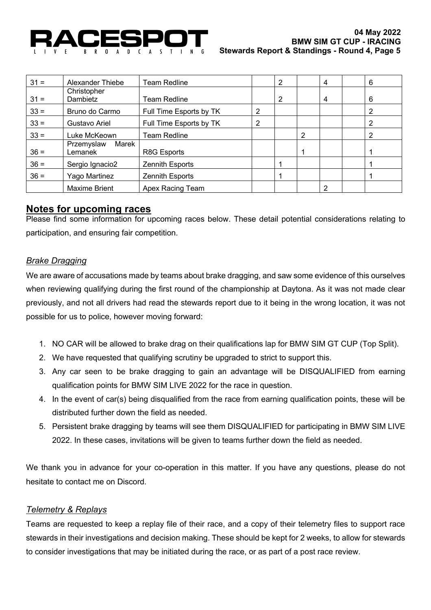

| $31 =$ | Alexander Thiebe               | Team Redline            |   | $\overline{2}$ |   | 4 | 6 |
|--------|--------------------------------|-------------------------|---|----------------|---|---|---|
| $31 =$ | Christopher<br>Dambietz        | Team Redline            |   | $\overline{2}$ |   | 4 | 6 |
| $33 =$ | Bruno do Carmo                 | Full Time Esports by TK | 2 |                |   |   | 2 |
| $33 =$ | Gustavo Ariel                  | Full Time Esports by TK | 2 |                |   |   | 2 |
| $33 =$ | Luke McKeown                   | Team Redline            |   |                | 2 |   | 2 |
| $36 =$ | Marek<br>Przemyslaw<br>Lemanek | R8G Esports             |   |                |   |   |   |
| $36 =$ | Sergio Ignacio2                | Zennith Esports         |   |                |   |   |   |
| $36 =$ | Yago Martinez                  | Zennith Esports         |   |                |   |   |   |
|        | <b>Maxime Brient</b>           | Apex Racing Team        |   |                |   | ⌒ |   |

#### **Notes for upcoming races**

Please find some information for upcoming races below. These detail potential considerations relating to participation, and ensuring fair competition.

#### *Brake Dragging*

We are aware of accusations made by teams about brake dragging, and saw some evidence of this ourselves when reviewing qualifying during the first round of the championship at Daytona. As it was not made clear previously, and not all drivers had read the stewards report due to it being in the wrong location, it was not possible for us to police, however moving forward:

- 1. NO CAR will be allowed to brake drag on their qualifications lap for BMW SIM GT CUP (Top Split).
- 2. We have requested that qualifying scrutiny be upgraded to strict to support this.
- 3. Any car seen to be brake dragging to gain an advantage will be DISQUALIFIED from earning qualification points for BMW SIM LIVE 2022 for the race in question.
- 4. In the event of car(s) being disqualified from the race from earning qualification points, these will be distributed further down the field as needed.
- 5. Persistent brake dragging by teams will see them DISQUALIFIED for participating in BMW SIM LIVE 2022. In these cases, invitations will be given to teams further down the field as needed.

We thank you in advance for your co-operation in this matter. If you have any questions, please do not hesitate to contact me on Discord.

#### *Telemetry & Replays*

Teams are requested to keep a replay file of their race, and a copy of their telemetry files to support race stewards in their investigations and decision making. These should be kept for 2 weeks, to allow for stewards to consider investigations that may be initiated during the race, or as part of a post race review.